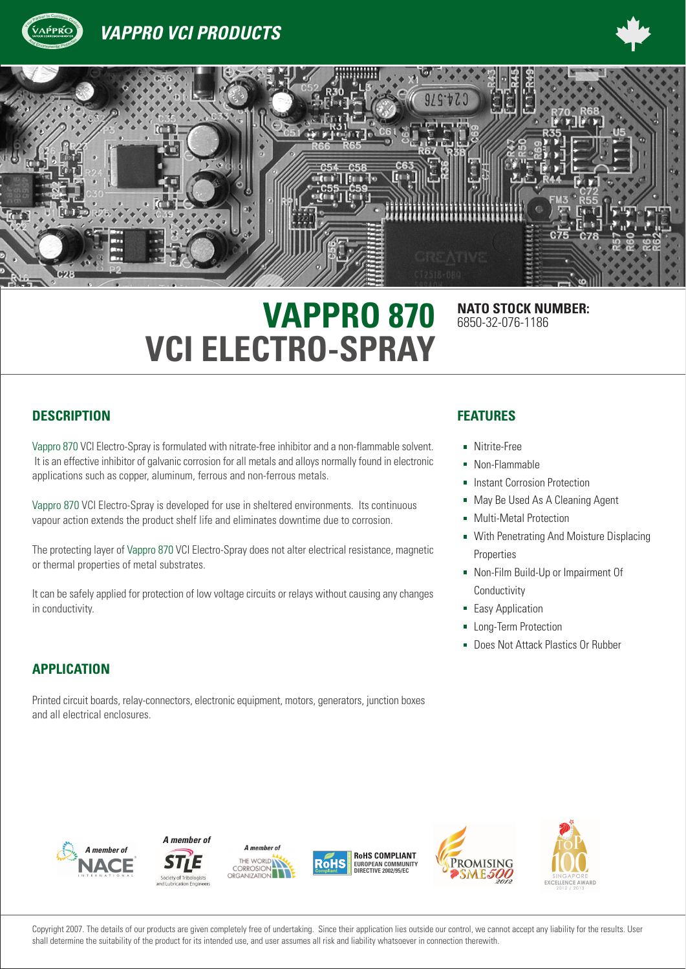

**VAPPRO VCI PRODUCTS** 





# **VAPPRO 870** NATO STOCK NUMBER: **VCI ELECTRO-SPRAY**

# 6850-32-076-1186

### **DESCRIPTION FEATURES**

Vappro 870 VCI Electro-Spray is formulated with nitrate-free inhibitor and a non-flammable solvent. It is an effective inhibitor of galvanic corrosion for all metals and alloys normally found in electronic applications such as copper, aluminum, ferrous and non-ferrous metals.

Vappro 870 VCI Electro-Spray is developed for use in sheltered environments. Its continuous vapour action extends the product shelf life and eliminates downtime due to corrosion.

The protecting layer of Vappro 870 VCI Electro-Spray does not alter electrical resistance, magnetic or thermal properties of metal substrates.

It can be safely applied for protection of low voltage circuits or relays without causing any changes in conductivity.

### **APPLICATION**

Printed circuit boards, relay-connectors, electronic equipment, motors, generators, junction boxes and all electrical enclosures.

- **Nitrite-Free**
- Non-Flammable
- **Instant Corrosion Protection**
- May Be Used As A Cleaning Agent
- **Multi-Metal Protection**
- **With Penetrating And Moisture Displacing** Properties
- Non-Film Build-Up or Impairment Of Conductivity
- **Easy Application**
- **Long-Term Protection**
- **Does Not Attack Plastics Or Rubber**













Copyright 2007. The details of our products are given completely free of undertaking. Since their application lies outside our control, we cannot accept any liability for the results. User shall determine the suitability of the product for its intended use, and user assumes all risk and liability whatsoever in connection therewith.